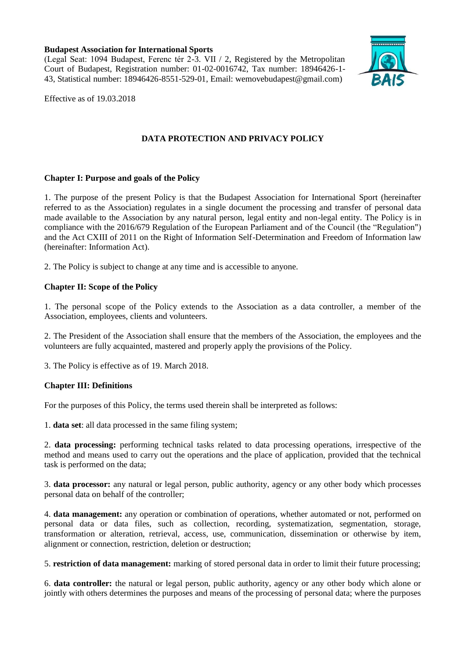#### **Budapest Association for International Sports**

(Legal Seat: 1094 Budapest, Ferenc tér 2-3. VII / 2, Registered by the Metropolitan Court of Budapest, Registration number: 01-02-0016742, Tax number: 18946426-1- 43, Statistical number: 18946426-8551-529-01, Email: wemovebudapest@gmail.com)



Effective as of 19.03.2018

# **DATA PROTECTION AND PRIVACY POLICY**

#### **Chapter I: Purpose and goals of the Policy**

1. The purpose of the present Policy is that the Budapest Association for International Sport (hereinafter referred to as the Association) regulates in a single document the processing and transfer of personal data made available to the Association by any natural person, legal entity and non-legal entity. The Policy is in compliance with the 2016/679 Regulation of the European Parliament and of the Council (the "Regulation") and the Act CXIII of 2011 on the Right of Information Self-Determination and Freedom of Information law (hereinafter: Information Act).

2. The Policy is subject to change at any time and is accessible to anyone.

### **Chapter II: Scope of the Policy**

1. The personal scope of the Policy extends to the Association as a data controller, a member of the Association, employees, clients and volunteers.

2. The President of the Association shall ensure that the members of the Association, the employees and the volunteers are fully acquainted, mastered and properly apply the provisions of the Policy.

3. The Policy is effective as of 19. March 2018.

#### **Chapter III: Definitions**

For the purposes of this Policy, the terms used therein shall be interpreted as follows:

1. **data set**: all data processed in the same filing system;

2. **data processing:** performing technical tasks related to data processing operations, irrespective of the method and means used to carry out the operations and the place of application, provided that the technical task is performed on the data;

3. **data processor:** any natural or legal person, public authority, agency or any other body which processes personal data on behalf of the controller;

4. **data management:** any operation or combination of operations, whether automated or not, performed on personal data or data files, such as collection, recording, systematization, segmentation, storage, transformation or alteration, retrieval, access, use, communication, dissemination or otherwise by item, alignment or connection, restriction, deletion or destruction;

5. **restriction of data management:** marking of stored personal data in order to limit their future processing;

6. **data controller:** the natural or legal person, public authority, agency or any other body which alone or jointly with others determines the purposes and means of the processing of personal data; where the purposes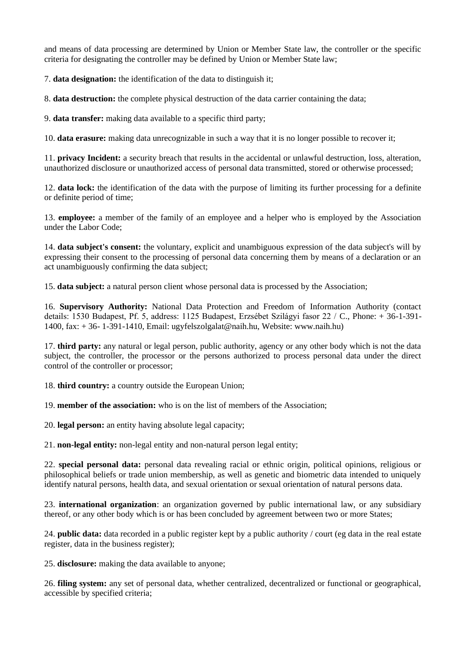and means of data processing are determined by Union or Member State law, the controller or the specific criteria for designating the controller may be defined by Union or Member State law;

7. **data designation:** the identification of the data to distinguish it;

8. **data destruction:** the complete physical destruction of the data carrier containing the data;

9. **data transfer:** making data available to a specific third party;

10. **data erasure:** making data unrecognizable in such a way that it is no longer possible to recover it;

11. **privacy Incident:** a security breach that results in the accidental or unlawful destruction, loss, alteration, unauthorized disclosure or unauthorized access of personal data transmitted, stored or otherwise processed;

12. **data lock:** the identification of the data with the purpose of limiting its further processing for a definite or definite period of time;

13. **employee:** a member of the family of an employee and a helper who is employed by the Association under the Labor Code;

14. **data subject's consent:** the voluntary, explicit and unambiguous expression of the data subject's will by expressing their consent to the processing of personal data concerning them by means of a declaration or an act unambiguously confirming the data subject;

15. **data subject:** a natural person client whose personal data is processed by the Association;

16. **Supervisory Authority:** National Data Protection and Freedom of Information Authority (contact details: 1530 Budapest, Pf. 5, address: 1125 Budapest, Erzsébet Szilágyi fasor 22 / C., Phone: + 36-1-391- 1400, fax: + 36- 1-391-1410, Email: ugyfelszolgalat@naih.hu, Website: www.naih.hu)

17. **third party:** any natural or legal person, public authority, agency or any other body which is not the data subject, the controller, the processor or the persons authorized to process personal data under the direct control of the controller or processor;

18. **third country:** a country outside the European Union;

19. **member of the association:** who is on the list of members of the Association;

20. **legal person:** an entity having absolute legal capacity;

21. **non-legal entity:** non-legal entity and non-natural person legal entity;

22. **special personal data:** personal data revealing racial or ethnic origin, political opinions, religious or philosophical beliefs or trade union membership, as well as genetic and biometric data intended to uniquely identify natural persons, health data, and sexual orientation or sexual orientation of natural persons data.

23. **international organization**: an organization governed by public international law, or any subsidiary thereof, or any other body which is or has been concluded by agreement between two or more States;

24. **public data:** data recorded in a public register kept by a public authority / court (eg data in the real estate register, data in the business register);

25. **disclosure:** making the data available to anyone;

26. **filing system:** any set of personal data, whether centralized, decentralized or functional or geographical, accessible by specified criteria;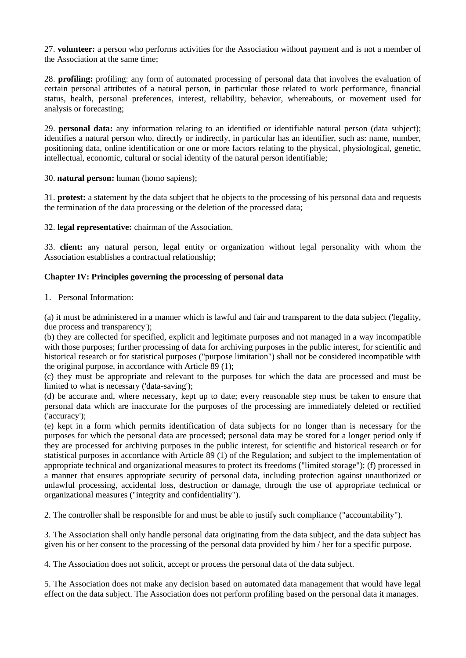27. **volunteer:** a person who performs activities for the Association without payment and is not a member of the Association at the same time;

28. **profiling:** profiling: any form of automated processing of personal data that involves the evaluation of certain personal attributes of a natural person, in particular those related to work performance, financial status, health, personal preferences, interest, reliability, behavior, whereabouts, or movement used for analysis or forecasting;

29. **personal data:** any information relating to an identified or identifiable natural person (data subject); identifies a natural person who, directly or indirectly, in particular has an identifier, such as: name, number, positioning data, online identification or one or more factors relating to the physical, physiological, genetic, intellectual, economic, cultural or social identity of the natural person identifiable;

30. **natural person:** human (homo sapiens);

31. **protest:** a statement by the data subject that he objects to the processing of his personal data and requests the termination of the data processing or the deletion of the processed data;

32. **legal representative:** chairman of the Association.

33. **client:** any natural person, legal entity or organization without legal personality with whom the Association establishes a contractual relationship;

## **Chapter IV: Principles governing the processing of personal data**

1. Personal Information:

(a) it must be administered in a manner which is lawful and fair and transparent to the data subject ('legality, due process and transparency');

(b) they are collected for specified, explicit and legitimate purposes and not managed in a way incompatible with those purposes; further processing of data for archiving purposes in the public interest, for scientific and historical research or for statistical purposes ("purpose limitation") shall not be considered incompatible with the original purpose, in accordance with Article 89 (1);

(c) they must be appropriate and relevant to the purposes for which the data are processed and must be limited to what is necessary ('data-saving');

(d) be accurate and, where necessary, kept up to date; every reasonable step must be taken to ensure that personal data which are inaccurate for the purposes of the processing are immediately deleted or rectified ('accuracy');

(e) kept in a form which permits identification of data subjects for no longer than is necessary for the purposes for which the personal data are processed; personal data may be stored for a longer period only if they are processed for archiving purposes in the public interest, for scientific and historical research or for statistical purposes in accordance with Article 89 (1) of the Regulation; and subject to the implementation of appropriate technical and organizational measures to protect its freedoms ("limited storage"); (f) processed in a manner that ensures appropriate security of personal data, including protection against unauthorized or unlawful processing, accidental loss, destruction or damage, through the use of appropriate technical or organizational measures ("integrity and confidentiality").

2. The controller shall be responsible for and must be able to justify such compliance ("accountability").

3. The Association shall only handle personal data originating from the data subject, and the data subject has given his or her consent to the processing of the personal data provided by him / her for a specific purpose.

4. The Association does not solicit, accept or process the personal data of the data subject.

5. The Association does not make any decision based on automated data management that would have legal effect on the data subject. The Association does not perform profiling based on the personal data it manages.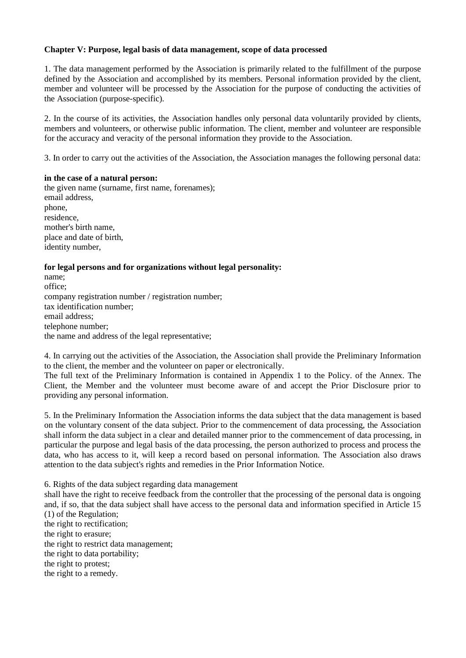## **Chapter V: Purpose, legal basis of data management, scope of data processed**

1. The data management performed by the Association is primarily related to the fulfillment of the purpose defined by the Association and accomplished by its members. Personal information provided by the client, member and volunteer will be processed by the Association for the purpose of conducting the activities of the Association (purpose-specific).

2. In the course of its activities, the Association handles only personal data voluntarily provided by clients, members and volunteers, or otherwise public information. The client, member and volunteer are responsible for the accuracy and veracity of the personal information they provide to the Association.

3. In order to carry out the activities of the Association, the Association manages the following personal data:

## **in the case of a natural person:**

the given name (surname, first name, forenames); email address, phone, residence, mother's birth name, place and date of birth, identity number,

## **for legal persons and for organizations without legal personality:**

name; office; company registration number / registration number; tax identification number; email address; telephone number; the name and address of the legal representative;

4. In carrying out the activities of the Association, the Association shall provide the Preliminary Information to the client, the member and the volunteer on paper or electronically.

The full text of the Preliminary Information is contained in Appendix 1 to the Policy. of the Annex. The Client, the Member and the volunteer must become aware of and accept the Prior Disclosure prior to providing any personal information.

5. In the Preliminary Information the Association informs the data subject that the data management is based on the voluntary consent of the data subject. Prior to the commencement of data processing, the Association shall inform the data subject in a clear and detailed manner prior to the commencement of data processing, in particular the purpose and legal basis of the data processing, the person authorized to process and process the data, who has access to it, will keep a record based on personal information. The Association also draws attention to the data subject's rights and remedies in the Prior Information Notice.

6. Rights of the data subject regarding data management shall have the right to receive feedback from the controller that the processing of the personal data is ongoing and, if so, that the data subject shall have access to the personal data and information specified in Article 15 (1) of the Regulation; the right to rectification; the right to erasure; the right to restrict data management; the right to data portability; the right to protest; the right to a remedy.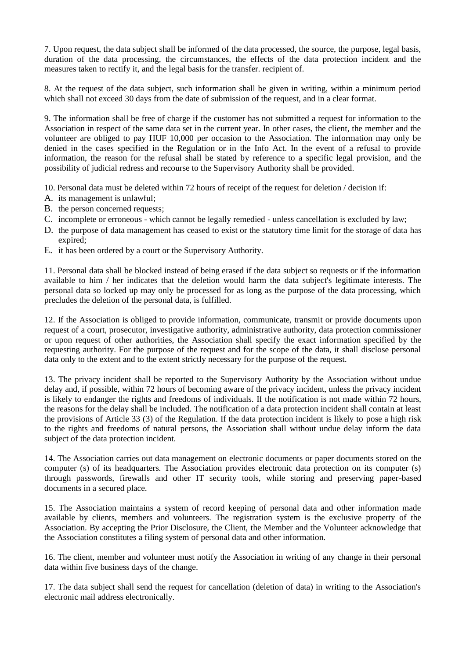7. Upon request, the data subject shall be informed of the data processed, the source, the purpose, legal basis, duration of the data processing, the circumstances, the effects of the data protection incident and the measures taken to rectify it, and the legal basis for the transfer. recipient of.

8. At the request of the data subject, such information shall be given in writing, within a minimum period which shall not exceed 30 days from the date of submission of the request, and in a clear format.

9. The information shall be free of charge if the customer has not submitted a request for information to the Association in respect of the same data set in the current year. In other cases, the client, the member and the volunteer are obliged to pay HUF 10,000 per occasion to the Association. The information may only be denied in the cases specified in the Regulation or in the Info Act. In the event of a refusal to provide information, the reason for the refusal shall be stated by reference to a specific legal provision, and the possibility of judicial redress and recourse to the Supervisory Authority shall be provided.

10. Personal data must be deleted within 72 hours of receipt of the request for deletion / decision if:

- A. its management is unlawful;
- B. the person concerned requests;
- C. incomplete or erroneous which cannot be legally remedied unless cancellation is excluded by law;
- D. the purpose of data management has ceased to exist or the statutory time limit for the storage of data has expired;
- E. it has been ordered by a court or the Supervisory Authority.

11. Personal data shall be blocked instead of being erased if the data subject so requests or if the information available to him / her indicates that the deletion would harm the data subject's legitimate interests. The personal data so locked up may only be processed for as long as the purpose of the data processing, which precludes the deletion of the personal data, is fulfilled.

12. If the Association is obliged to provide information, communicate, transmit or provide documents upon request of a court, prosecutor, investigative authority, administrative authority, data protection commissioner or upon request of other authorities, the Association shall specify the exact information specified by the requesting authority. For the purpose of the request and for the scope of the data, it shall disclose personal data only to the extent and to the extent strictly necessary for the purpose of the request.

13. The privacy incident shall be reported to the Supervisory Authority by the Association without undue delay and, if possible, within 72 hours of becoming aware of the privacy incident, unless the privacy incident is likely to endanger the rights and freedoms of individuals. If the notification is not made within 72 hours, the reasons for the delay shall be included. The notification of a data protection incident shall contain at least the provisions of Article 33 (3) of the Regulation. If the data protection incident is likely to pose a high risk to the rights and freedoms of natural persons, the Association shall without undue delay inform the data subject of the data protection incident.

14. The Association carries out data management on electronic documents or paper documents stored on the computer (s) of its headquarters. The Association provides electronic data protection on its computer (s) through passwords, firewalls and other IT security tools, while storing and preserving paper-based documents in a secured place.

15. The Association maintains a system of record keeping of personal data and other information made available by clients, members and volunteers. The registration system is the exclusive property of the Association. By accepting the Prior Disclosure, the Client, the Member and the Volunteer acknowledge that the Association constitutes a filing system of personal data and other information.

16. The client, member and volunteer must notify the Association in writing of any change in their personal data within five business days of the change.

17. The data subject shall send the request for cancellation (deletion of data) in writing to the Association's electronic mail address electronically.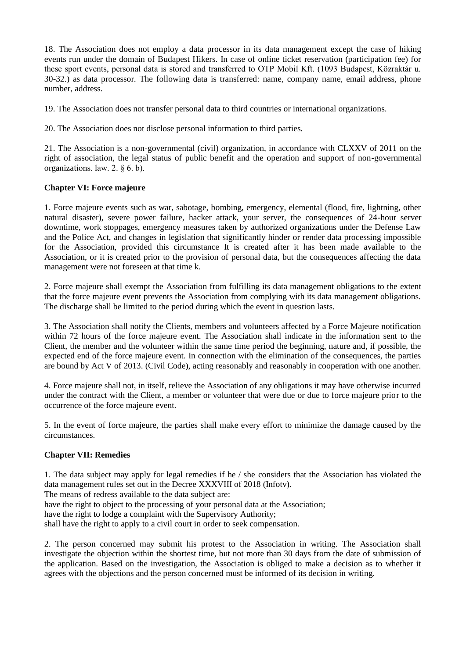18. The Association does not employ a data processor in its data management except the case of hiking events run under the domain of Budapest Hikers. In case of online ticket reservation (participation fee) for these sport events, personal data is stored and transferred to OTP Mobil Kft. (1093 Budapest, Közraktár u. 30-32.) as data processor. The following data is transferred: name, company name, email address, phone number, address.

19. The Association does not transfer personal data to third countries or international organizations.

20. The Association does not disclose personal information to third parties.

21. The Association is a non-governmental (civil) organization, in accordance with CLXXV of 2011 on the right of association, the legal status of public benefit and the operation and support of non-governmental organizations. law. 2. § 6. b).

## **Chapter VI: Force majeure**

1. Force majeure events such as war, sabotage, bombing, emergency, elemental (flood, fire, lightning, other natural disaster), severe power failure, hacker attack, your server, the consequences of 24-hour server downtime, work stoppages, emergency measures taken by authorized organizations under the Defense Law and the Police Act, and changes in legislation that significantly hinder or render data processing impossible for the Association, provided this circumstance It is created after it has been made available to the Association, or it is created prior to the provision of personal data, but the consequences affecting the data management were not foreseen at that time k.

2. Force majeure shall exempt the Association from fulfilling its data management obligations to the extent that the force majeure event prevents the Association from complying with its data management obligations. The discharge shall be limited to the period during which the event in question lasts.

3. The Association shall notify the Clients, members and volunteers affected by a Force Majeure notification within 72 hours of the force majeure event. The Association shall indicate in the information sent to the Client, the member and the volunteer within the same time period the beginning, nature and, if possible, the expected end of the force majeure event. In connection with the elimination of the consequences, the parties are bound by Act V of 2013. (Civil Code), acting reasonably and reasonably in cooperation with one another.

4. Force majeure shall not, in itself, relieve the Association of any obligations it may have otherwise incurred under the contract with the Client, a member or volunteer that were due or due to force majeure prior to the occurrence of the force majeure event.

5. In the event of force majeure, the parties shall make every effort to minimize the damage caused by the circumstances.

## **Chapter VII: Remedies**

1. The data subject may apply for legal remedies if he / she considers that the Association has violated the data management rules set out in the Decree XXXVIII of 2018 (Infotv).

The means of redress available to the data subject are:

have the right to object to the processing of your personal data at the Association;

have the right to lodge a complaint with the Supervisory Authority;

shall have the right to apply to a civil court in order to seek compensation.

2. The person concerned may submit his protest to the Association in writing. The Association shall investigate the objection within the shortest time, but not more than 30 days from the date of submission of the application. Based on the investigation, the Association is obliged to make a decision as to whether it agrees with the objections and the person concerned must be informed of its decision in writing.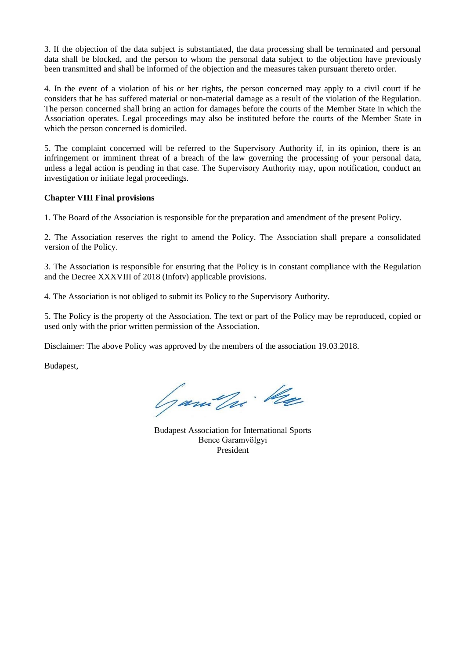3. If the objection of the data subject is substantiated, the data processing shall be terminated and personal data shall be blocked, and the person to whom the personal data subject to the objection have previously been transmitted and shall be informed of the objection and the measures taken pursuant thereto order.

4. In the event of a violation of his or her rights, the person concerned may apply to a civil court if he considers that he has suffered material or non-material damage as a result of the violation of the Regulation. The person concerned shall bring an action for damages before the courts of the Member State in which the Association operates. Legal proceedings may also be instituted before the courts of the Member State in which the person concerned is domiciled.

5. The complaint concerned will be referred to the Supervisory Authority if, in its opinion, there is an infringement or imminent threat of a breach of the law governing the processing of your personal data, unless a legal action is pending in that case. The Supervisory Authority may, upon notification, conduct an investigation or initiate legal proceedings.

#### **Chapter VIII Final provisions**

1. The Board of the Association is responsible for the preparation and amendment of the present Policy.

2. The Association reserves the right to amend the Policy. The Association shall prepare a consolidated version of the Policy.

3. The Association is responsible for ensuring that the Policy is in constant compliance with the Regulation and the Decree XXXVIII of 2018 (Infotv) applicable provisions.

4. The Association is not obliged to submit its Policy to the Supervisory Authority.

5. The Policy is the property of the Association. The text or part of the Policy may be reproduced, copied or used only with the prior written permission of the Association.

Disclaimer: The above Policy was approved by the members of the association 19.03.2018.

Budapest,

Gamelji Ke

Budapest Association for International Sports Bence Garamvölgyi President